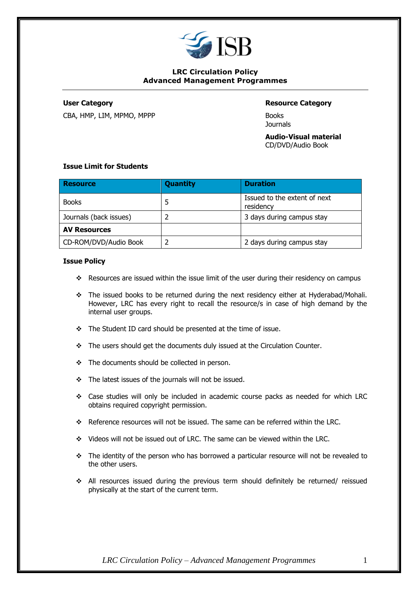

# **LRC Circulation Policy Advanced Management Programmes**

CBA, HMP, LIM, MPMO, MPPP BOOKS

# **User Category Resource Category**

**Journals** 

**Audio-Visual material** CD/DVD/Audio Book

# **Issue Limit for Students**

| <b>Resource</b>        | <b>Quantity</b> | <b>Duration</b>                           |
|------------------------|-----------------|-------------------------------------------|
| <b>Books</b>           | 5               | Issued to the extent of next<br>residency |
| Journals (back issues) |                 | 3 days during campus stay                 |
| <b>AV Resources</b>    |                 |                                           |
| CD-ROM/DVD/Audio Book  |                 | 2 days during campus stay                 |

#### **Issue Policy**

- ❖ Resources are issued within the issue limit of the user during their residency on campus
- ❖ The issued books to be returned during the next residency either at Hyderabad/Mohali. However, LRC has every right to recall the resource/s in case of high demand by the internal user groups.
- ❖ The Student ID card should be presented at the time of issue.
- ❖ The users should get the documents duly issued at the Circulation Counter.
- ❖ The documents should be collected in person.
- ❖ The latest issues of the journals will not be issued.
- ❖ Case studies will only be included in academic course packs as needed for which LRC obtains required copyright permission.
- ❖ Reference resources will not be issued. The same can be referred within the LRC.
- ❖ Videos will not be issued out of LRC. The same can be viewed within the LRC.
- ❖ The identity of the person who has borrowed a particular resource will not be revealed to the other users.
- ❖ All resources issued during the previous term should definitely be returned/ reissued physically at the start of the current term.